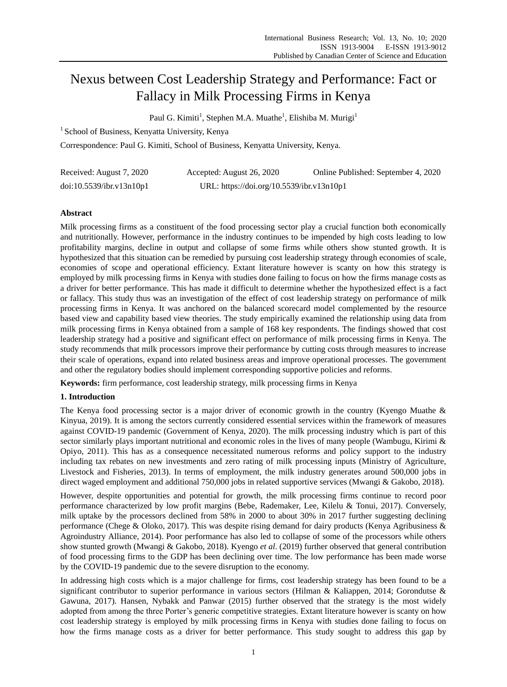# Nexus between Cost Leadership Strategy and Performance: Fact or Fallacy in Milk Processing Firms in Kenya

Paul G. Kimiti<sup>1</sup>, Stephen M.A. Muathe<sup>1</sup>, Elishiba M. Murigi<sup>1</sup>

<sup>1</sup> School of Business, Kenyatta University, Kenya

Correspondence: Paul G. Kimiti, School of Business, Kenyatta University, Kenya.

| Received: August 7, 2020 | Accepted: August 26, 2020                 | Online Published: September 4, 2020 |
|--------------------------|-------------------------------------------|-------------------------------------|
| doi:10.5539/ibr.v13n10p1 | URL: https://doi.org/10.5539/ibr.v13n10p1 |                                     |

# **Abstract**

Milk processing firms as a constituent of the food processing sector play a crucial function both economically and nutritionally. However, performance in the industry continues to be impended by high costs leading to low profitability margins, decline in output and collapse of some firms while others show stunted growth. It is hypothesized that this situation can be remedied by pursuing cost leadership strategy through economies of scale, economies of scope and operational efficiency. Extant literature however is scanty on how this strategy is employed by milk processing firms in Kenya with studies done failing to focus on how the firms manage costs as a driver for better performance. This has made it difficult to determine whether the hypothesized effect is a fact or fallacy. This study thus was an investigation of the effect of cost leadership strategy on performance of milk processing firms in Kenya. It was anchored on the balanced scorecard model complemented by the resource based view and capability based view theories. The study empirically examined the relationship using data from milk processing firms in Kenya obtained from a sample of 168 key respondents. The findings showed that cost leadership strategy had a positive and significant effect on performance of milk processing firms in Kenya. The study recommends that milk processors improve their performance by cutting costs through measures to increase their scale of operations, expand into related business areas and improve operational processes. The government and other the regulatory bodies should implement corresponding supportive policies and reforms.

**Keywords:** firm performance, cost leadership strategy, milk processing firms in Kenya

## **1. Introduction**

The Kenya food processing sector is a major driver of economic growth in the country (Kyengo Muathe & Kinyua, 2019). It is among the sectors currently considered essential services within the framework of measures against COVID-19 pandemic (Government of Kenya, 2020). The milk processing industry which is part of this sector similarly plays important nutritional and economic roles in the lives of many people (Wambugu, Kirimi & Opiyo, 2011). This has as a consequence necessitated numerous reforms and policy support to the industry including tax rebates on new investments and zero rating of milk processing inputs (Ministry of Agriculture, Livestock and Fisheries, 2013). In terms of employment, the milk industry generates around 500,000 jobs in direct waged employment and additional 750,000 jobs in related supportive services (Mwangi & Gakobo, 2018).

However, despite opportunities and potential for growth, the milk processing firms continue to record poor performance characterized by low profit margins (Bebe, Rademaker, Lee, Kilelu & Tonui, 2017). Conversely, milk uptake by the processors declined from 58% in 2000 to about 30% in 2017 further suggesting declining performance (Chege & Oloko, 2017). This was despite rising demand for dairy products (Kenya Agribusiness & Agroindustry Alliance, 2014). Poor performance has also led to collapse of some of the processors while others show stunted growth (Mwangi & Gakobo, 2018). Kyengo *et al*. (2019) further observed that general contribution of food processing firms to the GDP has been declining over time. The low performance has been made worse by the COVID-19 pandemic due to the severe disruption to the economy.

In addressing high costs which is a major challenge for firms, cost leadership strategy has been found to be a significant contributor to superior performance in various sectors (Hilman & Kaliappen, 2014; Gorondutse & Gawuna, 2017). Hansen, Nybakk and Panwar (2015) further observed that the strategy is the most widely adopted from among the three Porter's generic competitive strategies. Extant literature however is scanty on how cost leadership strategy is employed by milk processing firms in Kenya with studies done failing to focus on how the firms manage costs as a driver for better performance. This study sought to address this gap by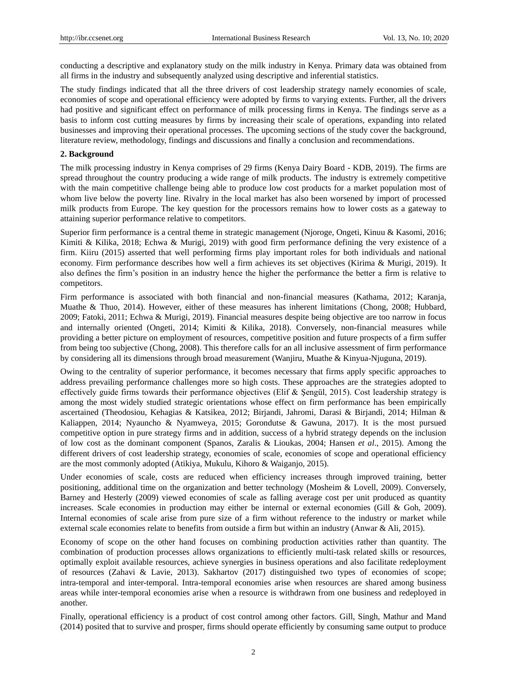conducting a descriptive and explanatory study on the milk industry in Kenya. Primary data was obtained from all firms in the industry and subsequently analyzed using descriptive and inferential statistics.

The study findings indicated that all the three drivers of cost leadership strategy namely economies of scale, economies of scope and operational efficiency were adopted by firms to varying extents. Further, all the drivers had positive and significant effect on performance of milk processing firms in Kenya. The findings serve as a basis to inform cost cutting measures by firms by increasing their scale of operations, expanding into related businesses and improving their operational processes. The upcoming sections of the study cover the background, literature review, methodology, findings and discussions and finally a conclusion and recommendations.

#### **2. Background**

The milk processing industry in Kenya comprises of 29 firms (Kenya Dairy Board - KDB, 2019). The firms are spread throughout the country producing a wide range of milk products. The industry is extremely competitive with the main competitive challenge being able to produce low cost products for a market population most of whom live below the poverty line. Rivalry in the local market has also been worsened by import of processed milk products from Europe. The key question for the processors remains how to lower costs as a gateway to attaining superior performance relative to competitors.

Superior firm performance is a central theme in strategic management (Njoroge, Ongeti, Kinuu & Kasomi, 2016; Kimiti & Kilika, 2018; Echwa & Murigi, 2019) with good firm performance defining the very existence of a firm. Kiiru (2015) asserted that well performing firms play important roles for both individuals and national economy. Firm performance describes how well a firm achieves its set objectives (Kirima & Murigi, 2019). It also defines the firm's position in an industry hence the higher the performance the better a firm is relative to competitors.

Firm performance is associated with both financial and non-financial measures (Kathama, 2012; Karanja, Muathe & Thuo, 2014). However, either of these measures has inherent limitations (Chong, 2008; Hubbard, 2009; Fatoki, 2011; Echwa & Murigi, 2019). Financial measures despite being objective are too narrow in focus and internally oriented (Ongeti, 2014; Kimiti & Kilika, 2018). Conversely, non-financial measures while providing a better picture on employment of resources, competitive position and future prospects of a firm suffer from being too subjective (Chong, 2008). This therefore calls for an all inclusive assessment of firm performance by considering all its dimensions through broad measurement (Wanjiru, Muathe & Kinyua-Njuguna, 2019).

Owing to the centrality of superior performance, it becomes necessary that firms apply specific approaches to address prevailing performance challenges more so high costs. These approaches are the strategies adopted to effectively guide firms towards their performance objectives (Elif & Şengül, 2015). Cost leadership strategy is among the most widely studied strategic orientations whose effect on firm performance has been empirically ascertained (Theodosiou, Kehagias & Katsikea, 2012; Birjandi, Jahromi, Darasi & Birjandi, 2014; Hilman & Kaliappen, 2014; Nyauncho & Nyamweya, 2015; Gorondutse & Gawuna, 2017). It is the most pursued competitive option in pure strategy firms and in addition, success of a hybrid strategy depends on the inclusion of low cost as the dominant component (Spanos, Zaralis & Lioukas, 2004; Hansen *et al*., 2015). Among the different drivers of cost leadership strategy, economies of scale, economies of scope and operational efficiency are the most commonly adopted (Atikiya, Mukulu, Kihoro & Waiganjo, 2015).

Under economies of scale, costs are reduced when efficiency increases through improved training, better positioning, additional time on the organization and better technology (Mosheim & Lovell, 2009). Conversely, Barney and Hesterly (2009) viewed economies of scale as falling average cost per unit produced as quantity increases. Scale economies in production may either be internal or external economies (Gill & Goh, 2009). Internal economies of scale arise from pure size of a firm without reference to the industry or market while external scale economies relate to benefits from outside a firm but within an industry (Anwar & Ali, 2015).

Economy of scope on the other hand focuses on combining production activities rather than quantity. The combination of production processes allows organizations to efficiently multi-task related skills or resources, optimally exploit available resources, achieve synergies in business operations and also facilitate redeployment of resources (Zahavi & Lavie, 2013). Sakhartov (2017) distinguished two types of economies of scope; intra-temporal and inter-temporal. Intra-temporal economies arise when resources are shared among business areas while inter-temporal economies arise when a resource is withdrawn from one business and redeployed in another.

Finally, operational efficiency is a product of cost control among other factors. Gill, Singh, Mathur and Mand (2014) posited that to survive and prosper, firms should operate efficiently by consuming same output to produce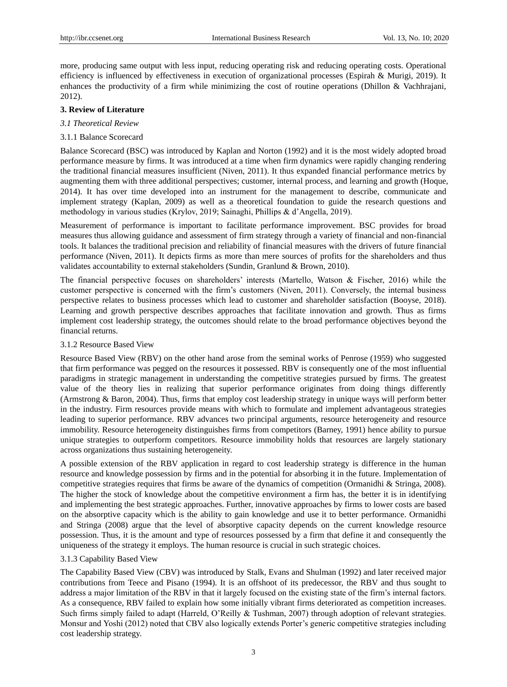more, producing same output with less input, reducing operating risk and reducing operating costs. Operational efficiency is influenced by effectiveness in execution of organizational processes (Espirah & Murigi, 2019). It enhances the productivity of a firm while minimizing the cost of routine operations (Dhillon & Vachhrajani, 2012).

## **3. Review of Literature**

- *3.1 Theoretical Review*
- 3.1.1 Balance Scorecard

Balance Scorecard (BSC) was introduced by Kaplan and Norton (1992) and it is the most widely adopted broad performance measure by firms. It was introduced at a time when firm dynamics were rapidly changing rendering the traditional financial measures insufficient (Niven, 2011). It thus expanded financial performance metrics by augmenting them with three additional perspectives; customer, internal process, and learning and growth (Hoque, 2014). It has over time developed into an instrument for the management to describe, communicate and implement strategy (Kaplan, 2009) as well as a theoretical foundation to guide the research questions and methodology in various studies (Krylov, 2019; Sainaghi, Phillips & d'Angella, 2019).

Measurement of performance is important to facilitate performance improvement. BSC provides for broad measures thus allowing guidance and assessment of firm strategy through a variety of financial and non-financial tools. It balances the traditional precision and reliability of financial measures with the drivers of future financial performance (Niven, 2011). It depicts firms as more than mere sources of profits for the shareholders and thus validates accountability to external stakeholders (Sundin, Granlund & Brown, 2010).

The financial perspective focuses on shareholders' interests (Martello, Watson & Fischer, 2016) while the customer perspective is concerned with the firm's customers (Niven, 2011). Conversely, the internal business perspective relates to business processes which lead to customer and shareholder satisfaction (Booyse, 2018). Learning and growth perspective describes approaches that facilitate innovation and growth. Thus as firms implement cost leadership strategy, the outcomes should relate to the broad performance objectives beyond the financial returns.

## 3.1.2 Resource Based View

Resource Based View (RBV) on the other hand arose from the seminal works of Penrose (1959) who suggested that firm performance was pegged on the resources it possessed. RBV is consequently one of the most influential paradigms in strategic management in understanding the competitive strategies pursued by firms. The greatest value of the theory lies in realizing that superior performance originates from doing things differently (Armstrong & Baron, 2004). Thus, firms that employ cost leadership strategy in unique ways will perform better in the industry. Firm resources provide means with which to formulate and implement advantageous strategies leading to superior performance. RBV advances two principal arguments, resource heterogeneity and resource immobility. Resource heterogeneity distinguishes firms from competitors (Barney, 1991) hence ability to pursue unique strategies to outperform competitors. Resource immobility holds that resources are largely stationary across organizations thus sustaining heterogeneity.

A possible extension of the RBV application in regard to cost leadership strategy is difference in the human resource and knowledge possession by firms and in the potential for absorbing it in the future. Implementation of competitive strategies requires that firms be aware of the dynamics of competition (Ormanidhi & Stringa, 2008). The higher the stock of knowledge about the competitive environment a firm has, the better it is in identifying and implementing the best strategic approaches. Further, innovative approaches by firms to lower costs are based on the absorptive capacity which is the ability to gain knowledge and use it to better performance. Ormanidhi and Stringa (2008) argue that the level of absorptive capacity depends on the current knowledge resource possession. Thus, it is the amount and type of resources possessed by a firm that define it and consequently the uniqueness of the strategy it employs. The human resource is crucial in such strategic choices.

## 3.1.3 Capability Based View

The Capability Based View (CBV) was introduced by Stalk, Evans and Shulman (1992) and later received major contributions from Teece and Pisano (1994). It is an offshoot of its predecessor, the RBV and thus sought to address a major limitation of the RBV in that it largely focused on the existing state of the firm's internal factors. As a consequence, RBV failed to explain how some initially vibrant firms deteriorated as competition increases. Such firms simply failed to adapt (Harreld, O'Reilly & Tushman, 2007) through adoption of relevant strategies. Monsur and Yoshi (2012) noted that CBV also logically extends Porter's generic competitive strategies including cost leadership strategy.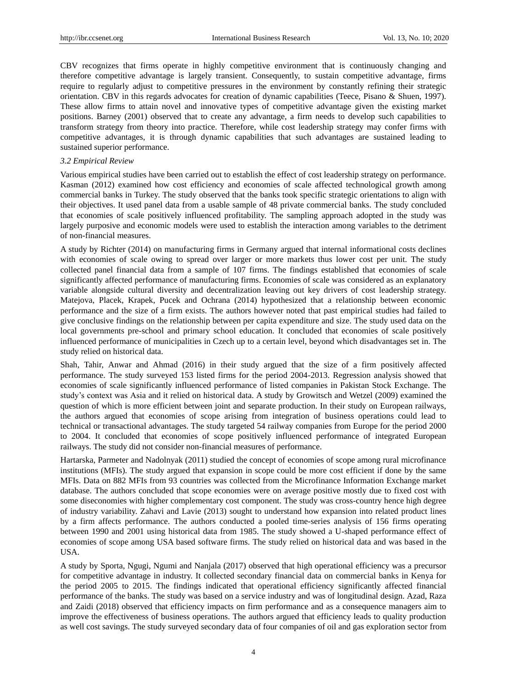CBV recognizes that firms operate in highly competitive environment that is continuously changing and therefore competitive advantage is largely transient. Consequently, to sustain competitive advantage, firms require to regularly adjust to competitive pressures in the environment by constantly refining their strategic orientation. CBV in this regards advocates for creation of dynamic capabilities (Teece, Pisano & Shuen, 1997). These allow firms to attain novel and innovative types of competitive advantage given the existing market positions. Barney (2001) observed that to create any advantage, a firm needs to develop such capabilities to transform strategy from theory into practice. Therefore, while cost leadership strategy may confer firms with competitive advantages, it is through dynamic capabilities that such advantages are sustained leading to sustained superior performance.

#### *3.2 Empirical Review*

Various empirical studies have been carried out to establish the effect of cost leadership strategy on performance. Kasman (2012) examined how cost efficiency and economies of scale affected technological growth among commercial banks in Turkey. The study observed that the banks took specific strategic orientations to align with their objectives. It used panel data from a usable sample of 48 private commercial banks. The study concluded that economies of scale positively influenced profitability. The sampling approach adopted in the study was largely purposive and economic models were used to establish the interaction among variables to the detriment of non-financial measures.

A study by Richter (2014) on manufacturing firms in Germany argued that internal informational costs declines with economies of scale owing to spread over larger or more markets thus lower cost per unit. The study collected panel financial data from a sample of 107 firms. The findings established that economies of scale significantly affected performance of manufacturing firms. Economies of scale was considered as an explanatory variable alongside cultural diversity and decentralization leaving out key drivers of cost leadership strategy. Matejova, Placek, Krapek, Pucek and Ochrana (2014) hypothesized that a relationship between economic performance and the size of a firm exists. The authors however noted that past empirical studies had failed to give conclusive findings on the relationship between per capita expenditure and size. The study used data on the local governments pre-school and primary school education. It concluded that economies of scale positively influenced performance of municipalities in Czech up to a certain level, beyond which disadvantages set in. The study relied on historical data.

Shah, Tahir, Anwar and Ahmad (2016) in their study argued that the size of a firm positively affected performance. The study surveyed 153 listed firms for the period 2004-2013. Regression analysis showed that economies of scale significantly influenced performance of listed companies in Pakistan Stock Exchange. The study's context was Asia and it relied on historical data. A study by Growitsch and Wetzel (2009) examined the question of which is more efficient between joint and separate production. In their study on European railways, the authors argued that economies of scope arising from integration of business operations could lead to technical or transactional advantages. The study targeted 54 railway companies from Europe for the period 2000 to 2004. It concluded that economies of scope positively influenced performance of integrated European railways. The study did not consider non-financial measures of performance.

Hartarska, Parmeter and Nadolnyak (2011) studied the concept of economies of scope among rural microfinance institutions (MFIs). The study argued that expansion in scope could be more cost efficient if done by the same MFIs. Data on 882 MFIs from 93 countries was collected from the Microfinance Information Exchange market database. The authors concluded that scope economies were on average positive mostly due to fixed cost with some diseconomies with higher complementary cost component. The study was cross-country hence high degree of industry variability. Zahavi and Lavie (2013) sought to understand how expansion into related product lines by a firm affects performance. The authors conducted a pooled time-series analysis of 156 firms operating between 1990 and 2001 using historical data from 1985. The study showed a U-shaped performance effect of economies of scope among USA based software firms. The study relied on historical data and was based in the USA.

A study by Sporta, Ngugi, Ngumi and Nanjala (2017) observed that high operational efficiency was a precursor for competitive advantage in industry. It collected secondary financial data on commercial banks in Kenya for the period 2005 to 2015. The findings indicated that operational efficiency significantly affected financial performance of the banks. The study was based on a service industry and was of longitudinal design. Azad, Raza and Zaidi (2018) observed that efficiency impacts on firm performance and as a consequence managers aim to improve the effectiveness of business operations. The authors argued that efficiency leads to quality production as well cost savings. The study surveyed secondary data of four companies of oil and gas exploration sector from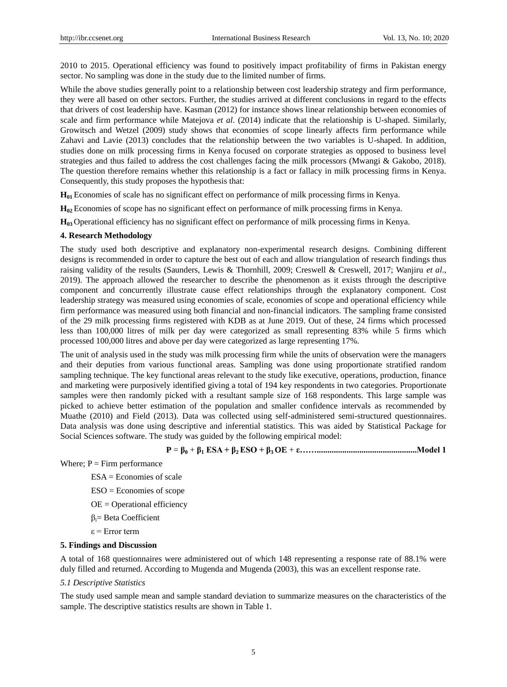2010 to 2015. Operational efficiency was found to positively impact profitability of firms in Pakistan energy sector. No sampling was done in the study due to the limited number of firms.

While the above studies generally point to a relationship between cost leadership strategy and firm performance, they were all based on other sectors. Further, the studies arrived at different conclusions in regard to the effects that drivers of cost leadership have. Kasman (2012) for instance shows linear relationship between economies of scale and firm performance while Matejova *et al*. (2014) indicate that the relationship is U-shaped. Similarly, Growitsch and Wetzel (2009) study shows that economies of scope linearly affects firm performance while Zahavi and Lavie (2013) concludes that the relationship between the two variables is U-shaped. In addition, studies done on milk processing firms in Kenya focused on corporate strategies as opposed to business level strategies and thus failed to address the cost challenges facing the milk processors (Mwangi & Gakobo, 2018). The question therefore remains whether this relationship is a fact or fallacy in milk processing firms in Kenya. Consequently, this study proposes the hypothesis that:

**H01** Economies of scale has no significant effect on performance of milk processing firms in Kenya.

**H02** Economies of scope has no significant effect on performance of milk processing firms in Kenya.

**H03** Operational efficiency has no significant effect on performance of milk processing firms in Kenya.

## **4. Research Methodology**

The study used both descriptive and explanatory non-experimental research designs. Combining different designs is recommended in order to capture the best out of each and allow triangulation of research findings thus raising validity of the results (Saunders, Lewis & Thornhill, 2009; Creswell & Creswell, 2017; Wanjiru *et al*., 2019). The approach allowed the researcher to describe the phenomenon as it exists through the descriptive component and concurrently illustrate cause effect relationships through the explanatory component. Cost leadership strategy was measured using economies of scale, economies of scope and operational efficiency while firm performance was measured using both financial and non-financial indicators. The sampling frame consisted of the 29 milk processing firms registered with KDB as at June 2019. Out of these, 24 firms which processed less than 100,000 litres of milk per day were categorized as small representing 83% while 5 firms which processed 100,000 litres and above per day were categorized as large representing 17%.

The unit of analysis used in the study was milk processing firm while the units of observation were the managers and their deputies from various functional areas. Sampling was done using proportionate stratified random sampling technique. The key functional areas relevant to the study like executive, operations, production, finance and marketing were purposively identified giving a total of 194 key respondents in two categories. Proportionate samples were then randomly picked with a resultant sample size of 168 respondents. This large sample was picked to achieve better estimation of the population and smaller confidence intervals as recommended by Muathe (2010) and Field (2013). Data was collected using self-administered semi-structured questionnaires. Data analysis was done using descriptive and inferential statistics. This was aided by Statistical Package for Social Sciences software. The study was guided by the following empirical model:

**P** = **β<sup>0</sup>** + **β<sup>1</sup> ESA + β2 ESO + β3 OE** + **ε……...............................................Model 1**

Where;  $P =$  Firm performance

- $ESA = Economics of scale$
- ESO = Economies of scope
- OE = Operational efficiency
- βi= Beta Coefficient
- ε = Error term

## **5. Findings and Discussion**

A total of 168 questionnaires were administered out of which 148 representing a response rate of 88.1% were duly filled and returned. According to Mugenda and Mugenda (2003), this was an excellent response rate.

#### *5.1 Descriptive Statistics*

The study used sample mean and sample standard deviation to summarize measures on the characteristics of the sample. The descriptive statistics results are shown in Table 1.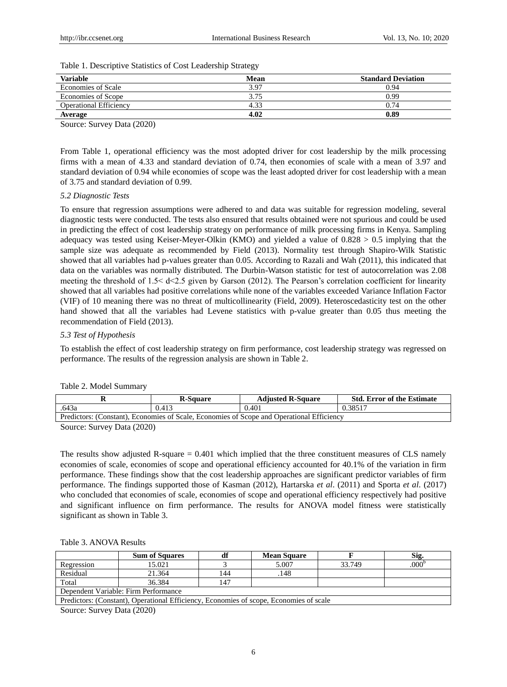| Variable                      | Mean | <b>Standard Deviation</b> |
|-------------------------------|------|---------------------------|
| <b>Economies of Scale</b>     | 3.97 | 0.94                      |
| Economies of Scope            | 3.75 | 0.99                      |
| <b>Operational Efficiency</b> | 4.33 | 0.74                      |
| Average                       | 4.02 | 0.89                      |

Table 1. Descriptive Statistics of Cost Leadership Strategy

Source: Survey Data (2020)

From Table 1, operational efficiency was the most adopted driver for cost leadership by the milk processing firms with a mean of 4.33 and standard deviation of 0.74, then economies of scale with a mean of 3.97 and standard deviation of 0.94 while economies of scope was the least adopted driver for cost leadership with a mean of 3.75 and standard deviation of 0.99.

## *5.2 Diagnostic Tests*

To ensure that regression assumptions were adhered to and data was suitable for regression modeling, several diagnostic tests were conducted. The tests also ensured that results obtained were not spurious and could be used in predicting the effect of cost leadership strategy on performance of milk processing firms in Kenya. Sampling adequacy was tested using Keiser-Meyer-Olkin (KMO) and yielded a value of 0.828 > 0.5 implying that the sample size was adequate as recommended by Field (2013). Normality test through Shapiro-Wilk Statistic showed that all variables had p-values greater than 0.05. According to Razali and Wah (2011), this indicated that data on the variables was normally distributed. The Durbin-Watson statistic for test of autocorrelation was 2.08 meeting the threshold of 1.5< d<2.5 given by Garson (2012). The Pearson's correlation coefficient for linearity showed that all variables had positive correlations while none of the variables exceeded Variance Inflation Factor (VIF) of 10 meaning there was no threat of multicollinearity (Field, 2009). Heteroscedasticity test on the other hand showed that all the variables had Levene statistics with p-value greater than 0.05 thus meeting the recommendation of Field (2013).

## *5.3 Test of Hypothesis*

To establish the effect of cost leadership strategy on firm performance, cost leadership strategy was regressed on performance. The results of the regression analysis are shown in Table 2.

|                                                                                           | <b>R-Square</b> | <b>Adjusted R-Square</b> | <b>Std. Error of the Estimate</b> |  |
|-------------------------------------------------------------------------------------------|-----------------|--------------------------|-----------------------------------|--|
| .643a                                                                                     | 0.413           | 0.401                    | 0.38517                           |  |
| Predictors: (Constant), Economies of Scale, Economies of Scope and Operational Efficiency |                 |                          |                                   |  |

## Table 2. Model Summary

Source: Survey Data (2020)

The results show adjusted R-square = 0.401 which implied that the three constituent measures of CLS namely economies of scale, economies of scope and operational efficiency accounted for 40.1% of the variation in firm performance. These findings show that the cost leadership approaches are significant predictor variables of firm performance. The findings supported those of Kasman (2012), Hartarska *et al*. (2011) and Sporta *et al*. (2017) who concluded that economies of scale, economies of scope and operational efficiency respectively had positive and significant influence on firm performance. The results for ANOVA model fitness were statistically significant as shown in Table 3.

#### Table 3. ANOVA Results

|                                                                                        | <b>Sum of Squares</b> |     | <b>Mean Square</b> |        | Sig.              |
|----------------------------------------------------------------------------------------|-----------------------|-----|--------------------|--------|-------------------|
| Regression                                                                             | 15.021                |     | 5.007              | 33.749 | .000 <sup>b</sup> |
| Residual                                                                               | 21.364                | 144 | .148               |        |                   |
| Total                                                                                  | 36.384                | 147 |                    |        |                   |
| Dependent Variable: Firm Performance                                                   |                       |     |                    |        |                   |
| Predictors: (Constant), Operational Efficiency, Economies of scope, Economies of scale |                       |     |                    |        |                   |

Source: Survey Data (2020)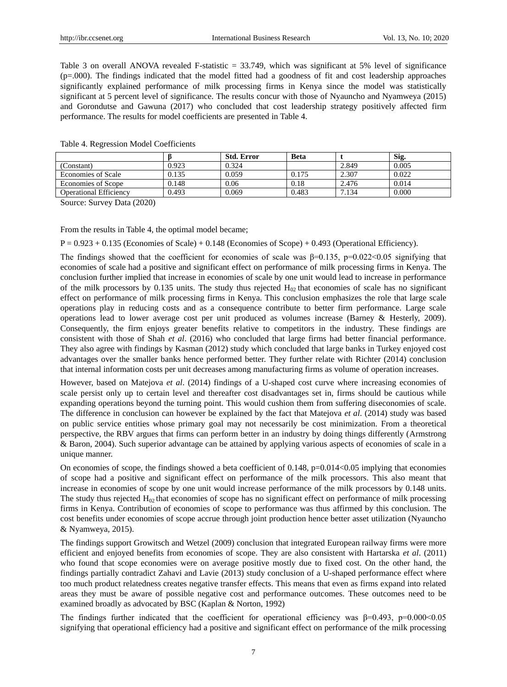Table 3 on overall ANOVA revealed F-statistic = 33.749, which was significant at 5% level of significance  $(p=0.00)$ . The findings indicated that the model fitted had a goodness of fit and cost leadership approaches significantly explained performance of milk processing firms in Kenya since the model was statistically significant at 5 percent level of significance. The results concur with those of Nyauncho and Nyamweya (2015) and Gorondutse and Gawuna (2017) who concluded that cost leadership strategy positively affected firm performance. The results for model coefficients are presented in Table 4.

|       | <b>Beta</b>                     |               | Sig.  |
|-------|---------------------------------|---------------|-------|
| 0.923 |                                 | 2.849         | 0.005 |
| 0.135 |                                 | 2.307         | 0.022 |
| 0.148 |                                 | 2.476         | 0.014 |
| 0.493 | 0.483                           | 7.134         | 0.000 |
|       | 0.324<br>0.059<br>0.06<br>0.069 | 0.175<br>0.18 |       |

Table 4. Regression Model Coefficients

Source: Survey Data (2020)

From the results in Table 4, the optimal model became;

 $P = 0.923 + 0.135$  (Economies of Scale) + 0.148 (Economies of Scope) + 0.493 (Operational Efficiency).

The findings showed that the coefficient for economies of scale was  $\beta$ =0.135, p=0.022<0.05 signifying that economies of scale had a positive and significant effect on performance of milk processing firms in Kenya. The conclusion further implied that increase in economies of scale by one unit would lead to increase in performance of the milk processors by 0.135 units. The study thus rejected  $H_{02}$  that economies of scale has no significant effect on performance of milk processing firms in Kenya. This conclusion emphasizes the role that large scale operations play in reducing costs and as a consequence contribute to better firm performance. Large scale operations lead to lower average cost per unit produced as volumes increase (Barney & Hesterly, 2009). Consequently, the firm enjoys greater benefits relative to competitors in the industry. These findings are consistent with those of Shah *et al*. (2016) who concluded that large firms had better financial performance. They also agree with findings by Kasman (2012) study which concluded that large banks in Turkey enjoyed cost advantages over the smaller banks hence performed better. They further relate with Richter (2014) conclusion that internal information costs per unit decreases among manufacturing firms as volume of operation increases.

However, based on Matejova *et al.* (2014) findings of a U-shaped cost curve where increasing economies of scale persist only up to certain level and thereafter cost disadvantages set in, firms should be cautious while expanding operations beyond the turning point. This would cushion them from suffering diseconomies of scale. The difference in conclusion can however be explained by the fact that Matejova *et al*. (2014) study was based on public service entities whose primary goal may not necessarily be cost minimization. From a theoretical perspective, the RBV argues that firms can perform better in an industry by doing things differently (Armstrong & Baron, 2004). Such superior advantage can be attained by applying various aspects of economies of scale in a unique manner.

On economies of scope, the findings showed a beta coefficient of 0.148, p=0.014<0.05 implying that economies of scope had a positive and significant effect on performance of the milk processors. This also meant that increase in economies of scope by one unit would increase performance of the milk processors by 0.148 units. The study thus rejected  $H_{02}$  that economies of scope has no significant effect on performance of milk processing firms in Kenya. Contribution of economies of scope to performance was thus affirmed by this conclusion. The cost benefits under economies of scope accrue through joint production hence better asset utilization (Nyauncho & Nyamweya, 2015).

The findings support Growitsch and Wetzel (2009) conclusion that integrated European railway firms were more efficient and enjoyed benefits from economies of scope. They are also consistent with Hartarska *et al*. (2011) who found that scope economies were on average positive mostly due to fixed cost. On the other hand, the findings partially contradict Zahavi and Lavie (2013) study conclusion of a U-shaped performance effect where too much product relatedness creates negative transfer effects. This means that even as firms expand into related areas they must be aware of possible negative cost and performance outcomes. These outcomes need to be examined broadly as advocated by BSC (Kaplan & Norton, 1992)

The findings further indicated that the coefficient for operational efficiency was  $\beta$ =0.493, p=0.000<0.05 signifying that operational efficiency had a positive and significant effect on performance of the milk processing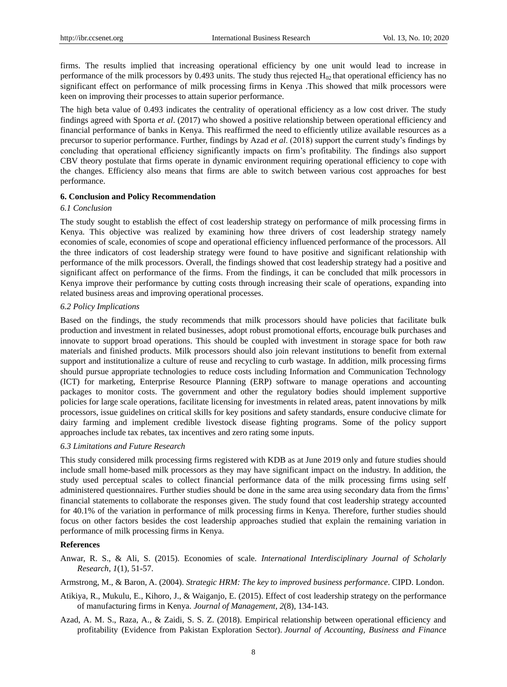firms. The results implied that increasing operational efficiency by one unit would lead to increase in performance of the milk processors by 0.493 units. The study thus rejected  $H_0$  that operational efficiency has no significant effect on performance of milk processing firms in Kenya .This showed that milk processors were keen on improving their processes to attain superior performance.

The high beta value of 0.493 indicates the centrality of operational efficiency as a low cost driver. The study findings agreed with Sporta *et al*. (2017) who showed a positive relationship between operational efficiency and financial performance of banks in Kenya. This reaffirmed the need to efficiently utilize available resources as a precursor to superior performance. Further, findings by Azad *et al*. (2018) support the current study's findings by concluding that operational efficiency significantly impacts on firm's profitability. The findings also support CBV theory postulate that firms operate in dynamic environment requiring operational efficiency to cope with the changes. Efficiency also means that firms are able to switch between various cost approaches for best performance.

## **6. Conclusion and Policy Recommendation**

#### *6.1 Conclusion*

The study sought to establish the effect of cost leadership strategy on performance of milk processing firms in Kenya. This objective was realized by examining how three drivers of cost leadership strategy namely economies of scale, economies of scope and operational efficiency influenced performance of the processors. All the three indicators of cost leadership strategy were found to have positive and significant relationship with performance of the milk processors. Overall, the findings showed that cost leadership strategy had a positive and significant affect on performance of the firms. From the findings, it can be concluded that milk processors in Kenya improve their performance by cutting costs through increasing their scale of operations, expanding into related business areas and improving operational processes.

#### *6.2 Policy Implications*

Based on the findings, the study recommends that milk processors should have policies that facilitate bulk production and investment in related businesses, adopt robust promotional efforts, encourage bulk purchases and innovate to support broad operations. This should be coupled with investment in storage space for both raw materials and finished products. Milk processors should also join relevant institutions to benefit from external support and institutionalize a culture of reuse and recycling to curb wastage. In addition, milk processing firms should pursue appropriate technologies to reduce costs including Information and Communication Technology (ICT) for marketing, Enterprise Resource Planning (ERP) software to manage operations and accounting packages to monitor costs. The government and other the regulatory bodies should implement supportive policies for large scale operations, facilitate licensing for investments in related areas, patent innovations by milk processors, issue guidelines on critical skills for key positions and safety standards, ensure conducive climate for dairy farming and implement credible livestock disease fighting programs. Some of the policy support approaches include tax rebates, tax incentives and zero rating some inputs.

#### *6.3 Limitations and Future Research*

This study considered milk processing firms registered with KDB as at June 2019 only and future studies should include small home-based milk processors as they may have significant impact on the industry. In addition, the study used perceptual scales to collect financial performance data of the milk processing firms using self administered questionnaires. Further studies should be done in the same area using secondary data from the firms' financial statements to collaborate the responses given. The study found that cost leadership strategy accounted for 40.1% of the variation in performance of milk processing firms in Kenya. Therefore, further studies should focus on other factors besides the cost leadership approaches studied that explain the remaining variation in performance of milk processing firms in Kenya.

## **References**

- Anwar, R. S., & Ali, S. (2015). Economies of scale. *International Interdisciplinary Journal of Scholarly Research*, *1*(1), 51-57.
- Armstrong, M., & Baron, A. (2004). *Strategic HRM: The key to improved business performance*. CIPD. London.
- Atikiya, R., Mukulu, E., Kihoro, J., & Waiganjo, E. (2015). Effect of cost leadership strategy on the performance of manufacturing firms in Kenya. *Journal of Management*, *2*(8), 134-143.
- Azad, A. M. S., Raza, A., & Zaidi, S. S. Z. (2018). Empirical relationship between operational efficiency and profitability (Evidence from Pakistan Exploration Sector). *Journal of Accounting, Business and Finance*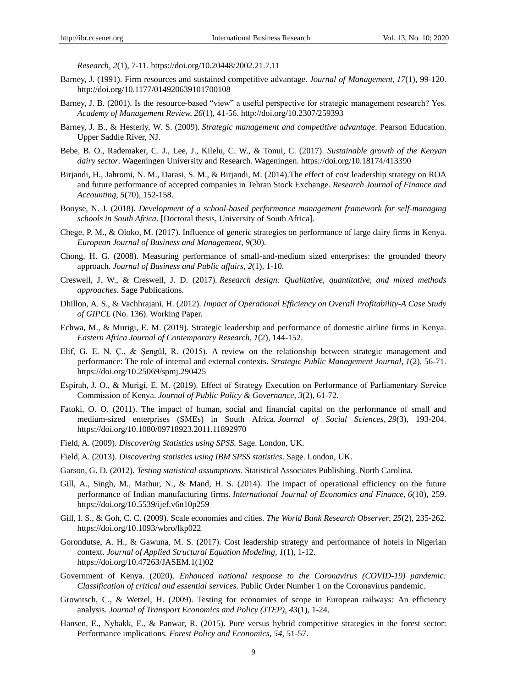*Research*, *2*(1), 7-11. https://doi.org/10.20448/2002.21.7.11

- Barney, J. (1991). Firm resources and sustained competitive advantage. *Journal of Management*, *17*(1), 99-120. http://doi.org/10.1177/014920639101700108
- Barney, J. B. (2001). Is the resource-based "view" a useful perspective for strategic management research? Yes. *Academy of Management Review, 26*(1), 41-56. http://doi.org/10.2307/259393
- Barney, J. B., & Hesterly, W. S. (2009). *Strategic management and competitive advantage*. Pearson Education. Upper Saddle River, NJ.
- Bebe, B. O., Rademaker, C. J., Lee, J., Kilelu, C. W., & Tonui, C. (2017). *Sustainable growth of the Kenyan dairy sector*. Wageningen University and Research. Wageningen. https://doi.org/10.18174/413390
- Birjandi, H., Jahromi, N. M., Darasi, S. M., & Birjandi, M. (2014).The effect of cost leadership strategy on ROA and future performance of accepted companies in Tehran Stock Exchange. *Research Journal of Finance and Accounting*, *5*(70), 152-158.
- Booyse, N. J. (2018). *Development of a school-based performance management framework for self-managing schools in South Africa*. [Doctoral thesis, University of South Africa].
- Chege, P. M., & Oloko, M. (2017). Influence of generic strategies on performance of large dairy firms in Kenya. *European Journal of Business and Management, 9*(30).
- Chong, H. G. (2008). Measuring performance of small-and-medium sized enterprises: the grounded theory approach. *Journal of Business and Public affairs*, *2*(1), 1-10.
- Creswell, J. W., & Creswell, J. D. (2017). *Research design: Qualitative, quantitative, and mixed methods approaches*. Sage Publications.
- Dhillon, A. S., & Vachhrajani, H. (2012). *Impact of Operational Efficiency on Overall Profitability-A Case Study of GIPCL* (No. 136). Working Paper.
- Echwa, M., & Murigi, E. M. (2019). Strategic leadership and performance of domestic airline firms in Kenya. *Eastern Africa Journal of Contemporary Research*, *1*(2), 144-152.
- Elif, G. E. N. Ç., & Şengül, R. (2015). A review on the relationship between strategic management and performance: The role of internal and external contexts. *Strategic Public Management Journal*, *1*(2), 56-71. https://doi.org/10.25069/spmj.290425
- Espirah, J. O., & Murigi, E. M. (2019). Effect of Strategy Execution on Performance of Parliamentary Service Commission of Kenya. *Journal of Public Policy & Governance*, *3*(2), 61-72.
- Fatoki, O. O. (2011). The impact of human, social and financial capital on the performance of small and medium-sized enterprises (SMEs) in South Africa. *Journal of Social Sciences*, *29*(3), 193-204. https://doi.org/10.1080/09718923.2011.11892970
- Field, A. (2009). *Discovering Statistics using SPSS.* Sage. London, UK.
- Field, A. (2013). *Discovering statistics using IBM SPSS statistics*. Sage. London, UK.
- Garson, G. D. (2012). *Testing statistical assumptions*. Statistical Associates Publishing. North Carolina.
- Gill, A., Singh, M., Mathur, N., & Mand, H. S. (2014). The impact of operational efficiency on the future performance of Indian manufacturing firms. *International Journal of Economics and Finance*, *6*(10), 259. https://doi.org/10.5539/ijef.v6n10p259
- Gill, I. S., & Goh, C. C. (2009). Scale economies and cities. *The World Bank Research Observer*, *25*(2), 235-262. https://doi.org/10.1093/wbro/lkp022
- Gorondutse, A. H., & Gawuna, M. S. (2017). Cost leadership strategy and performance of hotels in Nigerian context. *Journal of Applied Structural Equation Modeling, 1*(1), 1-12. https://doi.org/10.47263/JASEM.1(1)02
- Government of Kenya. (2020). *Enhanced national response to the Coronavirus (COVID-19) pandemic: Classification of critical and essential services.* Public Order Number 1 on the Coronavirus pandemic.
- Growitsch, C., & Wetzel, H. (2009). Testing for economies of scope in European railways: An efficiency analysis. *Journal of Transport Economics and Policy (JTEP)*, *43*(1), 1-24.
- Hansen, E., Nybakk, E., & Panwar, R. (2015). Pure versus hybrid competitive strategies in the forest sector: Performance implications. *Forest Policy and Economics*, *54*, 51-57.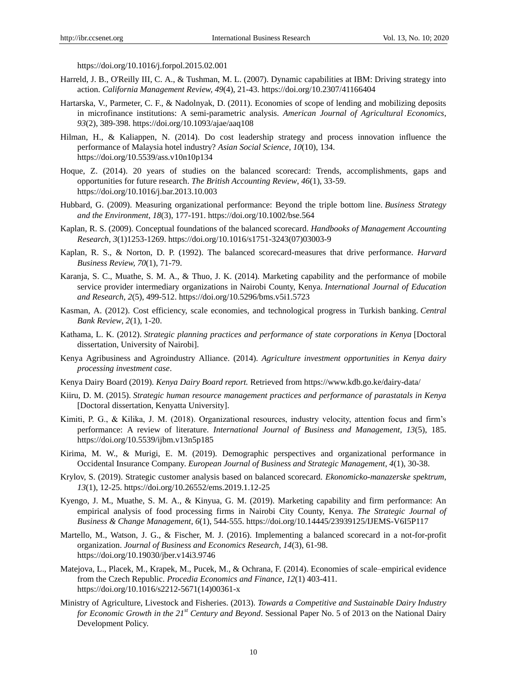https://doi.org/10.1016/j.forpol.2015.02.001

- Harreld, J. B., O'Reilly III, C. A., & Tushman, M. L. (2007). Dynamic capabilities at IBM: Driving strategy into action. *California Management Review, 49*(4), 21-43. https://doi.org/10.2307/41166404
- Hartarska, V., Parmeter, C. F., & Nadolnyak, D. (2011). Economies of scope of lending and mobilizing deposits in microfinance institutions: A semi-parametric analysis. *American Journal of Agricultural Economics*, *93*(2), 389-398. https://doi.org/10.1093/ajae/aaq108
- Hilman, H., & Kaliappen, N. (2014). Do cost leadership strategy and process innovation influence the performance of Malaysia hotel industry? *Asian Social Science*, *10*(10), 134. https://doi.org/10.5539/ass.v10n10p134
- Hoque, Z. (2014). 20 years of studies on the balanced scorecard: Trends, accomplishments, gaps and opportunities for future research. *The British Accounting Review*, *46*(1), 33-59. https://doi.org/10.1016/j.bar.2013.10.003
- Hubbard, G. (2009). Measuring organizational performance: Beyond the triple bottom line. *Business Strategy and the Environment*, *18*(3), 177-191. https://doi.org/10.1002/bse.564
- Kaplan, R. S. (2009). Conceptual foundations of the balanced scorecard. *Handbooks of Management Accounting Research*, *3*(1)1253-1269. https://doi.org/10.1016/s1751-3243(07)03003-9
- Kaplan, R. S., & Norton, D. P. (1992). The balanced scorecard-measures that drive performance. *Harvard Business Review, 70*(1), 71-79.
- Karanja, S. C., Muathe, S. M. A., & Thuo, J. K. (2014). Marketing capability and the performance of mobile service provider intermediary organizations in Nairobi County, Kenya. *International Journal of Education and Research*, *2*(5), 499-512. https://doi.org/10.5296/bms.v5i1.5723
- Kasman, A. (2012). Cost efficiency, scale economies, and technological progress in Turkish banking. *Central Bank Review*, *2*(1), 1-20.
- Kathama, L. K. (2012). *Strategic planning practices and performance of state corporations in Kenya* [Doctoral dissertation, University of Nairobi].
- Kenya Agribusiness and Agroindustry Alliance. (2014). *Agriculture investment opportunities in Kenya dairy processing investment case*.
- Kenya Dairy Board (2019). *Kenya Dairy Board report.* Retrieved from https://www.kdb.go.ke/dairy-data/
- Kiiru, D. M. (2015). *Strategic human resource management practices and performance of parastatals in Kenya* [Doctoral dissertation, Kenyatta University].
- Kimiti, P. G., & Kilika, J. M. (2018). Organizational resources, industry velocity, attention focus and firm's performance: A review of literature. *International Journal of Business and Management, 13*(5), 185. https://doi.org/10.5539/ijbm.v13n5p185
- Kirima, M. W., & Murigi, E. M. (2019). Demographic perspectives and organizational performance in Occidental Insurance Company. *European Journal of Business and Strategic Management*, *4*(1), 30-38.
- Krylov, S. (2019). Strategic customer analysis based on balanced scorecard. *Ekonomicko-manazerske spektrum*, *13*(1), 12-25. https://doi.org/10.26552/ems.2019.1.12-25
- Kyengo, J. M., Muathe, S. M. A., & Kinyua, G. M. (2019). Marketing capability and firm performance: An empirical analysis of food processing firms in Nairobi City County, Kenya. *The Strategic Journal of Business & Change Management*, *6*(1), 544-555. https://doi.org/10.14445/23939125/IJEMS-V6I5P117
- Martello, M., Watson, J. G., & Fischer, M. J. (2016). Implementing a balanced scorecard in a not-for-profit organization. *Journal of Business and Economics Research*, *14*(3), 61-98. https://doi.org/10.19030/jber.v14i3.9746
- Matejova, L., Placek, M., Krapek, M., Pucek, M., & Ochrana, F. (2014). Economies of scale–empirical evidence from the Czech Republic. *Procedia Economics and Finance*, *12*(1) 403-411. https://doi.org/10.1016/s2212-5671(14)00361-x
- Ministry of Agriculture, Livestock and Fisheries. (2013). *Towards a Competitive and Sustainable Dairy Industry for Economic Growth in the 21st Century and Beyond*. Sessional Paper No. 5 of 2013 on the National Dairy Development Policy.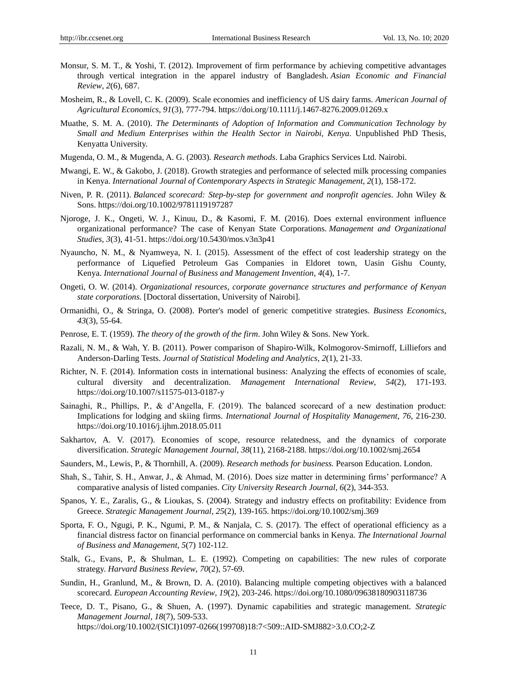- Monsur, S. M. T., & Yoshi, T. (2012). Improvement of firm performance by achieving competitive advantages through vertical integration in the apparel industry of Bangladesh. *Asian Economic and Financial Review*, *2*(6), 687.
- Mosheim, R., & Lovell, C. K. (2009). Scale economies and inefficiency of US dairy farms. *American Journal of Agricultural Economics*, *91*(3), 777-794. https://doi.org/10.1111/j.1467-8276.2009.01269.x
- Muathe, S. M. A. (2010). *The Determinants of Adoption of Information and Communication Technology by Small and Medium Enterprises within the Health Sector in Nairobi, Kenya*. Unpublished PhD Thesis, Kenyatta University.
- Mugenda, O. M., & Mugenda, A. G. (2003). *Research methods*. Laba Graphics Services Ltd. Nairobi.
- Mwangi, E. W., & Gakobo, J. (2018). Growth strategies and performance of selected milk processing companies in Kenya. *International Journal of Contemporary Aspects in Strategic Management*, *2*(1), 158-172.
- Niven, P. R. (2011). *Balanced scorecard: Step-by-step for government and nonprofit agencies*. John Wiley & Sons. https://doi.org/10.1002/9781119197287
- Njoroge, J. K., Ongeti, W. J., Kinuu, D., & Kasomi, F. M. (2016). Does external environment influence organizational performance? The case of Kenyan State Corporations. *Management and Organizational Studies*, *3*(3), 41-51. https://doi.org/10.5430/mos.v3n3p41
- Nyauncho, N. M., & Nyamweya, N. I. (2015). Assessment of the effect of cost leadership strategy on the performance of Liquefied Petroleum Gas Companies in Eldoret town, Uasin Gishu County, Kenya. *International Journal of Business and Management Invention*, *4*(4), 1-7.
- Ongeti, O. W. (2014). *Organizational resources, corporate governance structures and performance of Kenyan state corporations*. [Doctoral dissertation, University of Nairobi].
- Ormanidhi, O., & Stringa, O. (2008). Porter's model of generic competitive strategies. *Business Economics*, *43*(3), 55-64.
- Penrose, E. T. (1959). *The theory of the growth of the firm*. John Wiley & Sons. New York.
- Razali, N. M., & Wah, Y. B. (2011). Power comparison of Shapiro-Wilk, Kolmogorov-Smirnoff, Lilliefors and Anderson-Darling Tests. *Journal of Statistical Modeling and Analytics*, *2*(1), 21-33.
- Richter, N. F. (2014). Information costs in international business: Analyzing the effects of economies of scale, cultural diversity and decentralization. *Management International Review*, *54*(2), 171-193. https://doi.org/10.1007/s11575-013-0187-y
- Sainaghi, R., Phillips, P., & d'Angella, F. (2019). The balanced scorecard of a new destination product: Implications for lodging and skiing firms. *International Journal of Hospitality Management*, *76*, 216-230. https://doi.org/10.1016/j.ijhm.2018.05.011
- Sakhartov, A. V. (2017). Economies of scope, resource relatedness, and the dynamics of corporate diversification. *Strategic Management Journal*, *38*(11), 2168-2188. https://doi.org/10.1002/smj.2654
- Saunders, M., Lewis, P., & Thornhill, A. (2009). *Research methods for business.* Pearson Education. London.
- Shah, S., Tahir, S. H., Anwar, J., & Ahmad, M. (2016). Does size matter in determining firms' performance? A comparative analysis of listed companies. *City University Research Journal*, *6*(2), 344-353.
- Spanos, Y. E., Zaralis, G., & Lioukas, S. (2004). Strategy and industry effects on profitability: Evidence from Greece. *Strategic Management Journal*, *25*(2), 139-165. https://doi.org/10.1002/smj.369
- Sporta, F. O., Ngugi, P. K., Ngumi, P. M., & Nanjala, C. S. (2017). The effect of operational efficiency as a financial distress factor on financial performance on commercial banks in Kenya. *The International Journal of Business and Management, 5*(7) 102-112.
- Stalk, G., Evans, P., & Shulman, L. E. (1992). Competing on capabilities: The new rules of corporate strategy. *Harvard Business Review*, *70*(2), 57-69.
- Sundin, H., Granlund, M., & Brown, D. A. (2010). Balancing multiple competing objectives with a balanced scorecard. *European Accounting Review*, *19*(2), 203-246. https://doi.org/10.1080/09638180903118736
- Teece, D. T., Pisano, G., & Shuen, A. (1997). Dynamic capabilities and strategic management. *Strategic Management Journal, 18*(7), 509-533. https://doi.org/10.1002/(SICI)1097-0266(199708)18:7<509::AID-SMJ882>3.0.CO;2-Z